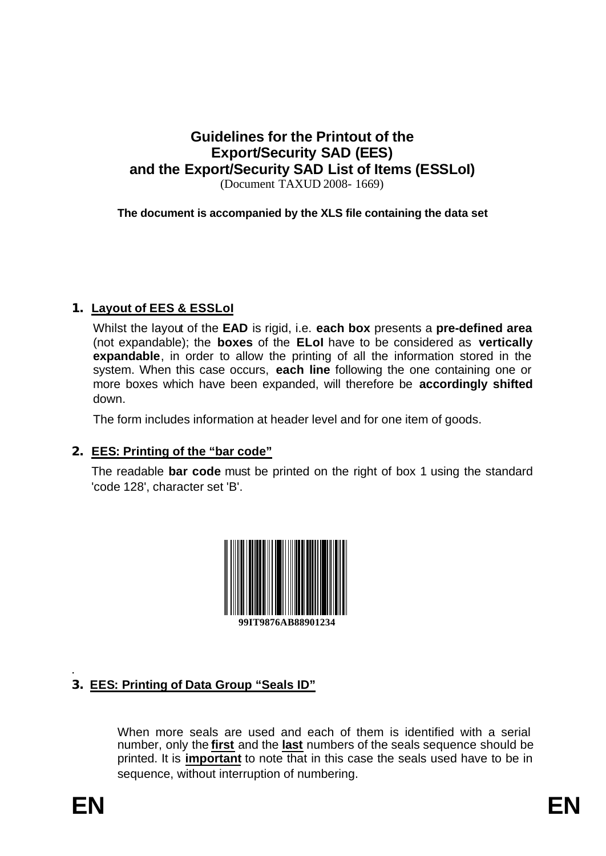# **Guidelines for the Printout of the Export/Security SAD (EES) and the Export/Security SAD List of Items (ESSLoI)**

(Document TAXUD 2008- 1669)

**The document is accompanied by the XLS file containing the data set**

# **1. Layout of EES & ESSLoI**

Whilst the layout of the **EAD** is rigid, i.e. **each box** presents a **pre-defined area** (not expandable); the **boxes** of the **ELoI** have to be considered as **vertically expandable**, in order to allow the printing of all the information stored in the system. When this case occurs, **each line** following the one containing one or more boxes which have been expanded, will therefore be **accordingly shifted** down.

The form includes information at header level and for one item of goods.

### **2. EES: Printing of the "bar code"**

The readable **bar code** must be printed on the right of box 1 using the standard 'code 128', character set 'B'.



#### . **3. EES: Printing of Data Group "Seals ID"**

When more seals are used and each of them is identified with a serial number, only the **first** and the **last** numbers of the seals sequence should be printed. It is **important** to note that in this case the seals used have to be in sequence, without interruption of numbering.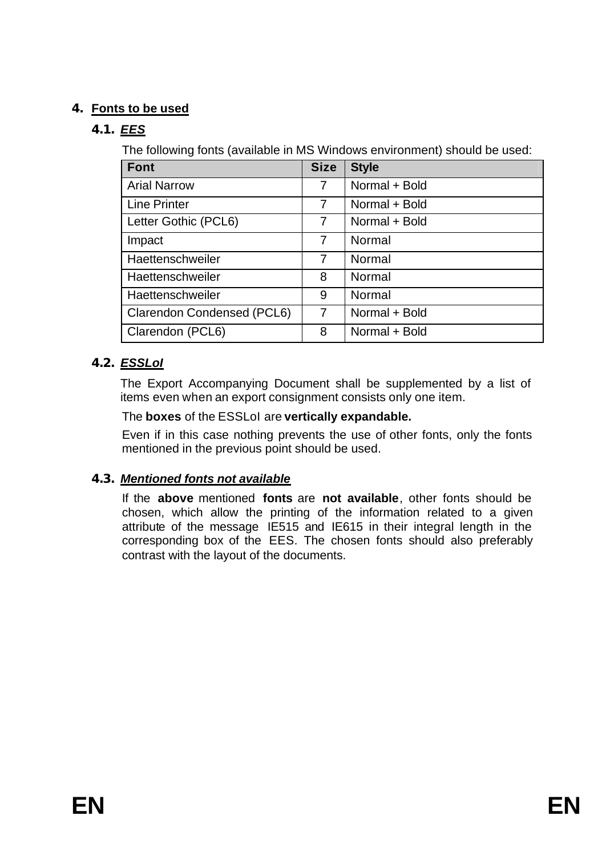# **4. Fonts to be used**

# *4.1. EES*

The following fonts (available in MS Windows environment) should be used:

| Font                       | <b>Size</b>    | <b>Style</b>  |
|----------------------------|----------------|---------------|
| <b>Arial Narrow</b>        | 7              | Normal + Bold |
| Line Printer               | 7              | Normal + Bold |
| Letter Gothic (PCL6)       | 7              | Normal + Bold |
| Impact                     | $\overline{7}$ | Normal        |
| Haettenschweiler           | $\overline{7}$ | Normal        |
| Haettenschweiler           | 8              | Normal        |
| Haettenschweiler           | 9              | Normal        |
| Clarendon Condensed (PCL6) | $\overline{7}$ | Normal + Bold |
| Clarendon (PCL6)           | 8              | Normal + Bold |

# *4.2. ESSLoI*

The Export Accompanying Document shall be supplemented by a list of items even when an export consignment consists only one item.

# The **boxes** of the ESSLoI are **vertically expandable.**

Even if in this case nothing prevents the use of other fonts, only the fonts mentioned in the previous point should be used.

# *4.3. Mentioned fonts not available*

If the **above** mentioned **fonts** are **not available**, other fonts should be chosen, which allow the printing of the information related to a given attribute of the message IE515 and IE615 in their integral length in the corresponding box of the EES. The chosen fonts should also preferably contrast with the layout of the documents.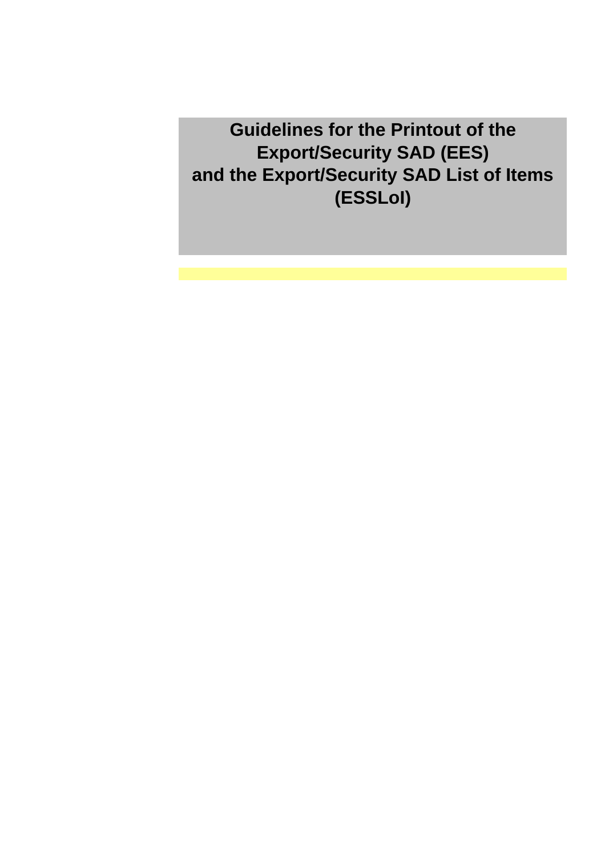**Guidelines for the Printout of the Export/Security SAD (EES) and the Export/Security SAD List of Items (ESSLoI)**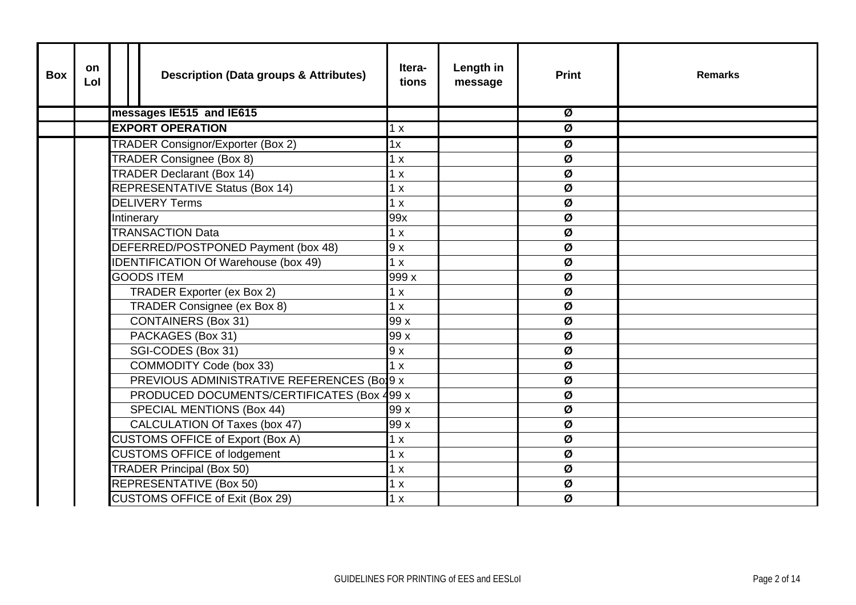| <b>Box</b> | <b>on</b><br>Lol |  | <b>Description (Data groups &amp; Attributes)</b> | Itera-<br>tions | Length in<br>message | <b>Print</b>             | <b>Remarks</b> |
|------------|------------------|--|---------------------------------------------------|-----------------|----------------------|--------------------------|----------------|
|            |                  |  | messages IE515 and IE615                          |                 |                      | Ø                        |                |
|            |                  |  | <b>EXPORT OPERATION</b>                           | 1 x             |                      | Ø                        |                |
|            |                  |  | <b>TRADER Consignor/Exporter (Box 2)</b>          | 1x              |                      | $\overline{\mathcal{Q}}$ |                |
|            |                  |  | TRADER Consignee (Box 8)                          | 1 x             |                      | Ø                        |                |
|            |                  |  | <b>TRADER Declarant (Box 14)</b>                  | 1 x             |                      | Ø                        |                |
|            |                  |  | <b>REPRESENTATIVE Status (Box 14)</b>             | 1 x             |                      | Ø                        |                |
|            |                  |  | <b>DELIVERY Terms</b>                             | 1 x             |                      | Ø                        |                |
|            |                  |  | Intinerary                                        | 99x             |                      | Ø                        |                |
|            |                  |  | <b>TRANSACTION Data</b>                           | 1 x             |                      | Ø                        |                |
|            |                  |  | DEFERRED/POSTPONED Payment (box 48)               | 9x              |                      | Ø                        |                |
|            |                  |  | IDENTIFICATION Of Warehouse (box 49)              | 1 x             |                      | Ø                        |                |
|            |                  |  | <b>GOODS ITEM</b>                                 | 999 x           |                      | Ø                        |                |
|            |                  |  | TRADER Exporter (ex Box 2)                        | 1 x             |                      | Ø                        |                |
|            |                  |  | TRADER Consignee (ex Box 8)                       | 1 x             |                      | Ø                        |                |
|            |                  |  | <b>CONTAINERS (Box 31)</b>                        | 99 x            |                      | Ø                        |                |
|            |                  |  | PACKAGES (Box 31)                                 | 99 x            |                      | Ø                        |                |
|            |                  |  | SGI-CODES (Box 31)                                | 9x              |                      | Ø                        |                |
|            |                  |  | <b>COMMODITY Code (box 33)</b>                    | 1x              |                      | Ø                        |                |
|            |                  |  | PREVIOUS ADMINISTRATIVE REFERENCES (Bol9 x        |                 |                      | Ø                        |                |
|            |                  |  | PRODUCED DOCUMENTS/CERTIFICATES (Box 499 x        |                 |                      | Ø                        |                |
|            |                  |  | <b>SPECIAL MENTIONS (Box 44)</b>                  | 99 x            |                      | Ø                        |                |
|            |                  |  | CALCULATION Of Taxes (box 47)                     | 99 x            |                      | Ø                        |                |
|            |                  |  | <b>CUSTOMS OFFICE of Export (Box A)</b>           | 1 x             |                      | Ø                        |                |
|            |                  |  | <b>CUSTOMS OFFICE of lodgement</b>                | 1 x             |                      | Ø                        |                |
|            |                  |  | <b>TRADER Principal (Box 50)</b>                  | 1 x             |                      | Ø                        |                |
|            |                  |  | <b>REPRESENTATIVE (Box 50)</b>                    | 1 x             |                      | Ø                        |                |
|            |                  |  | <b>CUSTOMS OFFICE of Exit (Box 29)</b>            | 1x              |                      | Ø                        |                |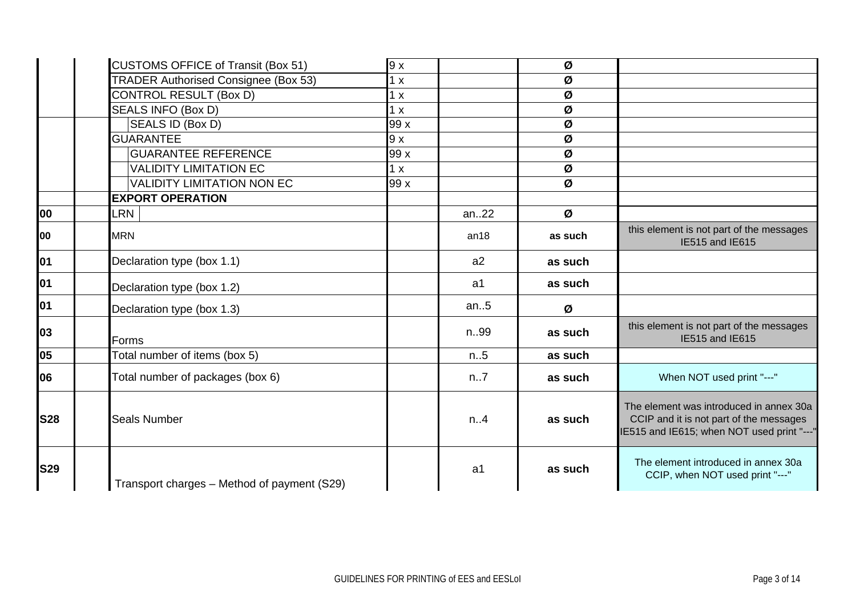|            | <b>CUSTOMS OFFICE of Transit (Box 51)</b>   | 9x   |      | Ø       |                                                                                                                                  |
|------------|---------------------------------------------|------|------|---------|----------------------------------------------------------------------------------------------------------------------------------|
|            | TRADER Authorised Consignee (Box 53)        | 1 x  |      | Ø       |                                                                                                                                  |
|            | <b>CONTROL RESULT (Box D)</b>               | 1x   |      | Ø       |                                                                                                                                  |
|            | SEALS INFO (Box D)                          | 1 x  |      | Ø       |                                                                                                                                  |
|            | SEALS ID (Box D)                            | 99 x |      | Ø       |                                                                                                                                  |
|            | <b>GUARANTEE</b>                            | 9 x  |      | Ø       |                                                                                                                                  |
|            | <b>GUARANTEE REFERENCE</b>                  | 99x  |      | Ø       |                                                                                                                                  |
|            | <b>VALIDITY LIMITATION EC</b>               | 1 x  |      | Ø       |                                                                                                                                  |
|            | <b>VALIDITY LIMITATION NON EC</b>           | 99 x |      | Ø       |                                                                                                                                  |
|            | <b>EXPORT OPERATION</b>                     |      |      |         |                                                                                                                                  |
| 00         | <b>LRN</b>                                  |      | an22 | Ø       |                                                                                                                                  |
| 00         | <b>MRN</b>                                  |      | an18 | as such | this element is not part of the messages<br>IE515 and IE615                                                                      |
| 01         | Declaration type (box 1.1)                  |      | a2   | as such |                                                                                                                                  |
| 01         | Declaration type (box 1.2)                  |      | a1   | as such |                                                                                                                                  |
| 01         | Declaration type (box 1.3)                  |      | an.5 | Ø       |                                                                                                                                  |
| 03         | Forms                                       |      | n99  | as such | this element is not part of the messages<br>IE515 and IE615                                                                      |
| 05         | Total number of items (box 5)               |      | n.5  | as such |                                                                                                                                  |
| 06         | Total number of packages (box 6)            |      | n.7  | as such | When NOT used print "---"                                                                                                        |
| <b>S28</b> | <b>Seals Number</b>                         |      | n.4  | as such | The element was introduced in annex 30a<br>CCIP and it is not part of the messages<br>IE515 and IE615; when NOT used print "---" |
| <b>S29</b> | Transport charges - Method of payment (S29) |      | a1   | as such | The element introduced in annex 30a<br>CCIP, when NOT used print "---"                                                           |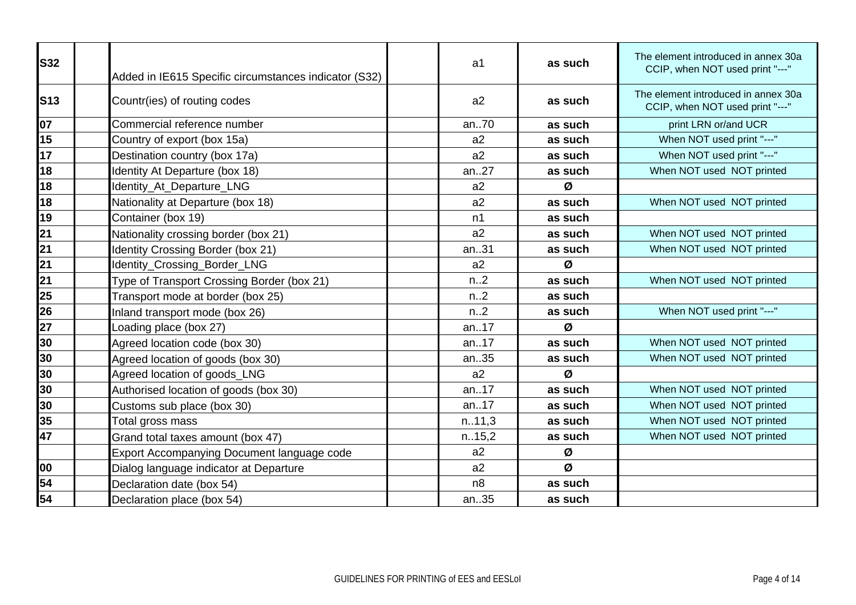| <b>S32</b> | Added in IE615 Specific circumstances indicator (S32) | a <sub>1</sub>   | as such | The element introduced in annex 30a<br>CCIP, when NOT used print "---" |
|------------|-------------------------------------------------------|------------------|---------|------------------------------------------------------------------------|
| <b>S13</b> | Countr(ies) of routing codes                          | a2               | as such | The element introduced in annex 30a<br>CCIP, when NOT used print "---" |
| 07         | Commercial reference number                           | an70             | as such | print LRN or/and UCR                                                   |
| 15         | Country of export (box 15a)                           | a2               | as such | When NOT used print "---"                                              |
| 17         | Destination country (box 17a)                         | a2               | as such | When NOT used print "---"                                              |
| 18         | Identity At Departure (box 18)                        | an27             | as such | When NOT used NOT printed                                              |
| 18         | Identity_At_Departure_LNG                             | a2               | Ø       |                                                                        |
| 18         | Nationality at Departure (box 18)                     | a2               | as such | When NOT used NOT printed                                              |
| 19         | Container (box 19)                                    | n1               | as such |                                                                        |
| 21         | Nationality crossing border (box 21)                  | a2               | as such | When NOT used NOT printed                                              |
| 21         | Identity Crossing Border (box 21)                     | an31             | as such | When NOT used NOT printed                                              |
| 21         | Identity_Crossing_Border_LNG                          | a2               | Ø       |                                                                        |
| 21         | Type of Transport Crossing Border (box 21)            | n <sub>1</sub> 2 | as such | When NOT used NOT printed                                              |
| 25         | Transport mode at border (box 25)                     | n.2              | as such |                                                                        |
| 26         | Inland transport mode (box 26)                        | n <sub>1</sub> 2 | as such | When NOT used print "---"                                              |
| 27         | Loading place (box 27)                                | an17             | Ø       |                                                                        |
| 30         | Agreed location code (box 30)                         | an17             | as such | When NOT used NOT printed                                              |
| 30         | Agreed location of goods (box 30)                     | an35             | as such | When NOT used NOT printed                                              |
| 30         | Agreed location of goods_LNG                          | a2               | Ø       |                                                                        |
| 30         | Authorised location of goods (box 30)                 | an17             | as such | When NOT used NOT printed                                              |
| 30         | Customs sub place (box 30)                            | an.17            | as such | When NOT used NOT printed                                              |
| 35         | Total gross mass                                      | n.11,3           | as such | When NOT used NOT printed                                              |
| 47         | Grand total taxes amount (box 47)                     | n.15,2           | as such | When NOT used NOT printed                                              |
|            | Export Accompanying Document language code            | a2               | Ø       |                                                                        |
| 00         | Dialog language indicator at Departure                | a2               | Ø       |                                                                        |
| 54         | Declaration date (box 54)                             | n <sub>8</sub>   | as such |                                                                        |
| 54         | Declaration place (box 54)                            | an35             | as such |                                                                        |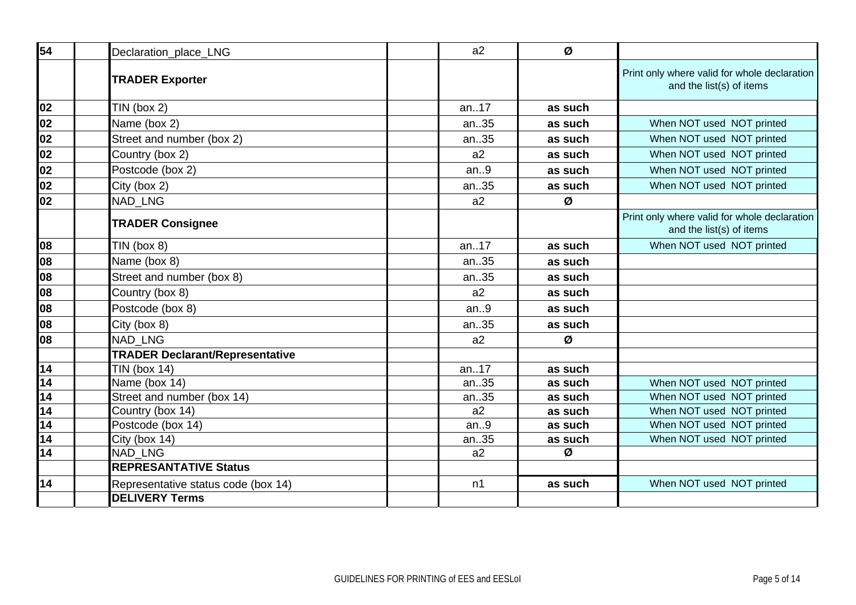| 54                                                                                                                                                  | Declaration_place_LNG                  | a2             | Ø       |                                                                          |
|-----------------------------------------------------------------------------------------------------------------------------------------------------|----------------------------------------|----------------|---------|--------------------------------------------------------------------------|
|                                                                                                                                                     | <b>TRADER Exporter</b>                 |                |         | Print only where valid for whole declaration<br>and the list(s) of items |
|                                                                                                                                                     | $TIN$ (box 2)                          | an17           | as such |                                                                          |
|                                                                                                                                                     | Name (box 2)                           | an35           | as such | When NOT used NOT printed                                                |
|                                                                                                                                                     | Street and number (box 2)              | an35           | as such | When NOT used NOT printed                                                |
| $\begin{array}{r} 02 \\ \hline 02 \\ \hline 02 \\ \hline 02 \\ \hline 02 \\ \hline 02 \\ \hline \end{array}$                                        | Country (box 2)                        | a2             | as such | When NOT used NOT printed                                                |
|                                                                                                                                                     | Postcode (box 2)                       | an.9           | as such | When NOT used NOT printed                                                |
| 02                                                                                                                                                  | City (box 2)                           | an35           | as such | When NOT used NOT printed                                                |
| 02                                                                                                                                                  | <b>NAD LNG</b>                         | a2             | Ø       |                                                                          |
|                                                                                                                                                     | <b>TRADER Consignee</b>                |                |         | Print only where valid for whole declaration<br>and the list(s) of items |
|                                                                                                                                                     | $TIN$ (box 8)                          | an17           | as such | When NOT used NOT printed                                                |
| $\begin{array}{c} 08 \\ \hline 08 \end{array}$                                                                                                      | Name (box 8)                           | an35           | as such |                                                                          |
| 08                                                                                                                                                  | Street and number (box 8)              | an35           | as such |                                                                          |
| 08                                                                                                                                                  | Country (box 8)                        | a2             | as such |                                                                          |
| 08                                                                                                                                                  | Postcode (box 8)                       | an.9           | as such |                                                                          |
| 08                                                                                                                                                  | City (box 8)                           | an35           | as such |                                                                          |
| 08                                                                                                                                                  | <b>NAD LNG</b>                         | a2             | Ø       |                                                                          |
|                                                                                                                                                     | <b>TRADER Declarant/Representative</b> |                |         |                                                                          |
| $\begin{array}{r} 14 \\ \hline 14 \\ \hline 14 \\ \hline 14 \\ \hline 14 \\ \hline 14 \\ \hline 14 \\ \hline 14 \\ \hline 14 \\ \hline \end{array}$ | <b>TIN (box 14)</b>                    | an17           | as such |                                                                          |
|                                                                                                                                                     | Name (box 14)                          | an35           | as such | When NOT used NOT printed                                                |
|                                                                                                                                                     | Street and number (box 14)             | an35           | as such | When NOT used NOT printed                                                |
|                                                                                                                                                     | Country (box 14)                       | a2             | as such | When NOT used NOT printed                                                |
|                                                                                                                                                     | Postcode (box 14)                      | an.9           | as such | When NOT used NOT printed                                                |
|                                                                                                                                                     | City (box 14)                          | an35           | as such | When NOT used NOT printed                                                |
|                                                                                                                                                     | NAD_LNG                                | a2             | Ø       |                                                                          |
|                                                                                                                                                     | <b>REPRESANTATIVE Status</b>           |                |         |                                                                          |
| 14                                                                                                                                                  | Representative status code (box 14)    | n <sub>1</sub> | as such | When NOT used NOT printed                                                |
|                                                                                                                                                     | <b>DELIVERY Terms</b>                  |                |         |                                                                          |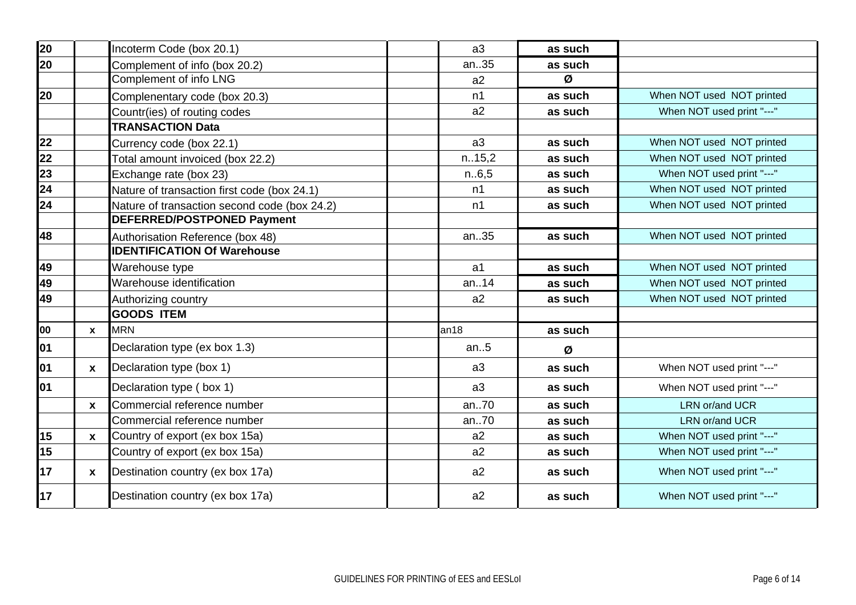| 20  |              | Incoterm Code (box 20.1)                     | a3     | as such |                           |
|-----|--------------|----------------------------------------------|--------|---------|---------------------------|
| 20  |              | Complement of info (box 20.2)                | an35   | as such |                           |
|     |              | Complement of info LNG                       | a2     | Ø       |                           |
| 20  |              | Complenentary code (box 20.3)                | n1     | as such | When NOT used NOT printed |
|     |              | Countr(ies) of routing codes                 | a2     | as such | When NOT used print "---" |
|     |              | <b>TRANSACTION Data</b>                      |        |         |                           |
| 22  |              | Currency code (box 22.1)                     | a3     | as such | When NOT used NOT printed |
| 22  |              | Total amount invoiced (box 22.2)             | n.15,2 | as such | When NOT used NOT printed |
| 23  |              | Exchange rate (box 23)                       | n.6,5  | as such | When NOT used print "---" |
| 24  |              | Nature of transaction first code (box 24.1)  | n1     | as such | When NOT used NOT printed |
| 24  |              | Nature of transaction second code (box 24.2) | n1     | as such | When NOT used NOT printed |
|     |              | DEFERRED/POSTPONED Payment                   |        |         |                           |
| 48  |              | Authorisation Reference (box 48)             | an35   | as such | When NOT used NOT printed |
|     |              | <b>IDENTIFICATION Of Warehouse</b>           |        |         |                           |
| 49  |              | Warehouse type                               | a1     | as such | When NOT used NOT printed |
| 49  |              | Warehouse identification                     | an14   | as such | When NOT used NOT printed |
| 49  |              | Authorizing country                          | a2     | as such | When NOT used NOT printed |
|     |              | <b>GOODS ITEM</b>                            |        |         |                           |
| 00  | $\mathbf{x}$ | <b>MRN</b>                                   | an18   | as such |                           |
| 01  |              | Declaration type (ex box 1.3)                | an.5   | Ø       |                           |
| 01  | $\mathbf{x}$ | Declaration type (box 1)                     | a3     | as such | When NOT used print "---" |
| lo1 |              | Declaration type (box 1)                     | a3     | as such | When NOT used print "---" |
|     | $\mathbf{x}$ | Commercial reference number                  | an70   | as such | LRN or/and UCR            |
|     |              | Commercial reference number                  | an70   | as such | LRN or/and UCR            |
| 15  | $\mathbf{x}$ | Country of export (ex box 15a)               | a2     | as such | When NOT used print "---" |
| 15  |              | Country of export (ex box 15a)               | a2     | as such | When NOT used print "---" |
| 17  | $\mathbf{x}$ | Destination country (ex box 17a)             | a2     | as such | When NOT used print "---" |
| 17  |              | Destination country (ex box 17a)             | a2     | as such | When NOT used print "---" |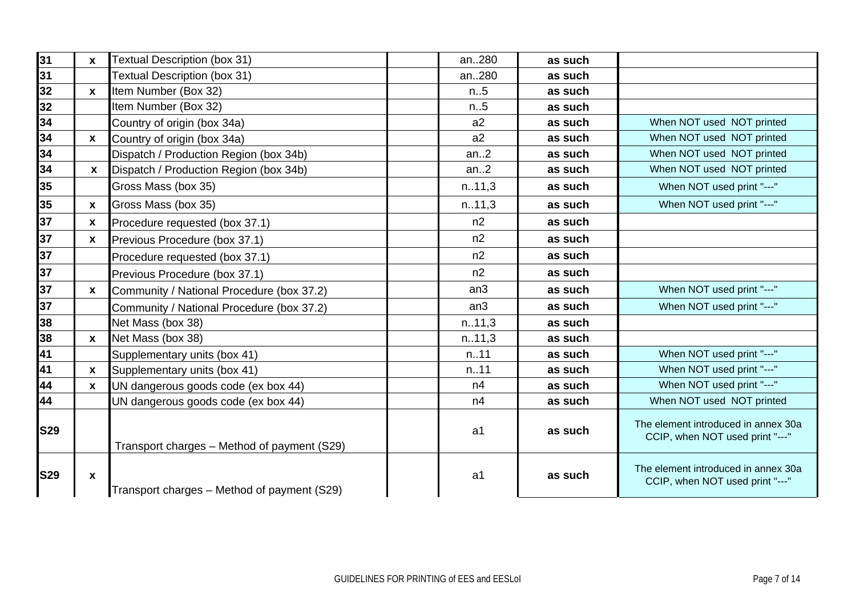| 31         |              | <b>Textual Description (box 31)</b>         | an280           | as such |                                                                        |
|------------|--------------|---------------------------------------------|-----------------|---------|------------------------------------------------------------------------|
|            | X            |                                             |                 |         |                                                                        |
| 31         |              | Textual Description (box 31)                | an280           | as such |                                                                        |
| 32         | $\mathbf{x}$ | Item Number (Box 32)                        | n.5             | as such |                                                                        |
| 32         |              | Item Number (Box 32)                        | n.5             | as such |                                                                        |
| 34         |              | Country of origin (box 34a)                 | a2              | as such | When NOT used NOT printed                                              |
| 34         | $\mathbf x$  | Country of origin (box 34a)                 | a2              | as such | When NOT used NOT printed                                              |
| 34         |              | Dispatch / Production Region (box 34b)      | an.2            | as such | When NOT used NOT printed                                              |
| 34         | $\mathbf{x}$ | Dispatch / Production Region (box 34b)      | an.2            | as such | When NOT used NOT printed                                              |
| 35         |              | Gross Mass (box 35)                         | n.11,3          | as such | When NOT used print "---"                                              |
| 35         | $\mathbf{x}$ | Gross Mass (box 35)                         | n.11,3          | as such | When NOT used print "---"                                              |
| 37         | X            | Procedure requested (box 37.1)              | n2              | as such |                                                                        |
| 37         | X            | Previous Procedure (box 37.1)               | n2              | as such |                                                                        |
| 37         |              | Procedure requested (box 37.1)              | n2              | as such |                                                                        |
| 37         |              | Previous Procedure (box 37.1)               | n2              | as such |                                                                        |
| 37         | X            | Community / National Procedure (box 37.2)   | an3             | as such | When NOT used print "---"                                              |
| 37         |              | Community / National Procedure (box 37.2)   | an <sub>3</sub> | as such | When NOT used print "---"                                              |
| 38         |              | Net Mass (box 38)                           | n.11,3          | as such |                                                                        |
| 38         | X            | Net Mass (box 38)                           | n.11,3          | as such |                                                                        |
| 41         |              | Supplementary units (box 41)                | n.11            | as such | When NOT used print "---"                                              |
| 41         | X            | Supplementary units (box 41)                | n.11            | as such | When NOT used print "---"                                              |
| 44         | X            | UN dangerous goods code (ex box 44)         | n4              | as such | When NOT used print "---"                                              |
| 44         |              | UN dangerous goods code (ex box 44)         | n4              | as such | When NOT used NOT printed                                              |
| <b>S29</b> |              | Transport charges - Method of payment (S29) | a1              | as such | The element introduced in annex 30a<br>CCIP, when NOT used print "---" |
| <b>S29</b> | X            | Transport charges - Method of payment (S29) | a1              | as such | The element introduced in annex 30a<br>CCIP, when NOT used print "---" |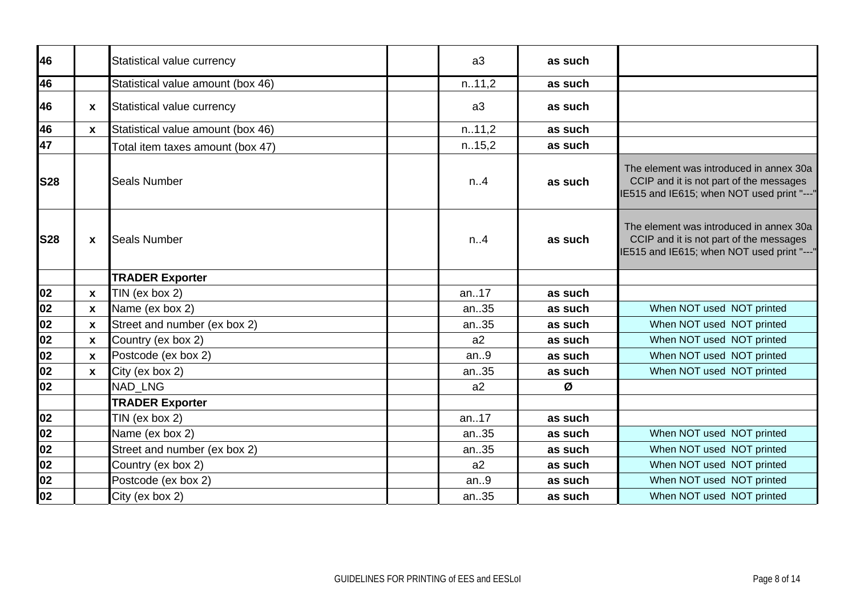| 46         |                           | Statistical value currency        | a3             | as such |                                                                                                                                  |
|------------|---------------------------|-----------------------------------|----------------|---------|----------------------------------------------------------------------------------------------------------------------------------|
| 46         |                           | Statistical value amount (box 46) | n.11,2         | as such |                                                                                                                                  |
| 46         | X                         | Statistical value currency        | a <sub>3</sub> | as such |                                                                                                                                  |
| 46         | $\mathbf{x}$              | Statistical value amount (box 46) | n.11,2         | as such |                                                                                                                                  |
| 47         |                           | Total item taxes amount (box 47)  | n.15,2         | as such |                                                                                                                                  |
| <b>S28</b> |                           | <b>Seals Number</b>               | n.A            | as such | The element was introduced in annex 30a<br>CCIP and it is not part of the messages<br>IE515 and IE615; when NOT used print "---" |
| <b>S28</b> | $\mathbf x$               | <b>Seals Number</b>               | n.4            | as such | The element was introduced in annex 30a<br>CCIP and it is not part of the messages<br>IE515 and IE615; when NOT used print "---" |
|            |                           | <b>TRADER Exporter</b>            |                |         |                                                                                                                                  |
| 02         | $\boldsymbol{\mathsf{x}}$ | TIN (ex box 2)                    | an17           | as such |                                                                                                                                  |
| 02         | X                         | Name (ex box 2)                   | an35           | as such | When NOT used NOT printed                                                                                                        |
| 02         | $\mathbf x$               | Street and number (ex box 2)      | an35           | as such | When NOT used NOT printed                                                                                                        |
| 02         | $\boldsymbol{\mathsf{x}}$ | Country (ex box 2)                | a2             | as such | When NOT used NOT printed                                                                                                        |
| 02         | $\mathbf x$               | Postcode (ex box 2)               | an.9           | as such | When NOT used NOT printed                                                                                                        |
| 02         | $\boldsymbol{\mathsf{x}}$ | City (ex box 2)                   | an35           | as such | When NOT used NOT printed                                                                                                        |
| 02         |                           | NAD LNG                           | a2             | Ø       |                                                                                                                                  |
|            |                           | <b>TRADER Exporter</b>            |                |         |                                                                                                                                  |
| 02         |                           | TIN (ex box $2$ )                 | an17           | as such |                                                                                                                                  |
| 02         |                           | Name (ex box 2)                   | an35           | as such | When NOT used NOT printed                                                                                                        |
| 02         |                           | Street and number (ex box 2)      | an35           | as such | When NOT used NOT printed                                                                                                        |
| 02         |                           | Country (ex box 2)                | a2             | as such | When NOT used NOT printed                                                                                                        |
| 02         |                           | Postcode (ex box 2)               | an.9           | as such | When NOT used NOT printed                                                                                                        |
| 02         |                           | City (ex box 2)                   | an35           | as such | When NOT used NOT printed                                                                                                        |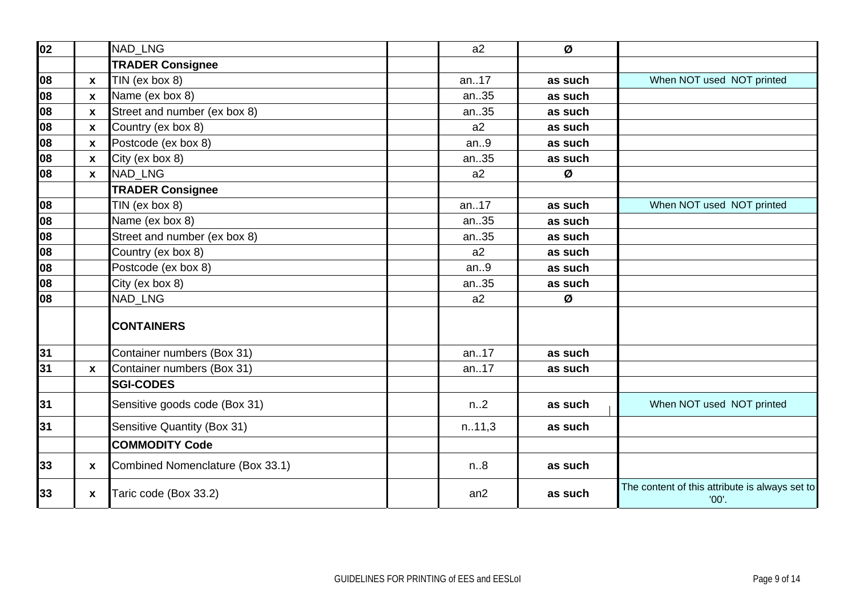| 02  |                  | NAD_LNG                          | a2     | Ø       |                                                         |
|-----|------------------|----------------------------------|--------|---------|---------------------------------------------------------|
|     |                  | <b>TRADER Consignee</b>          |        |         |                                                         |
| 108 | $\mathbf{x}$     | TIN (ex box 8)                   | an17   | as such | When NOT used NOT printed                               |
| 08  | $\mathbf x$      | Name (ex box 8)                  | an35   | as such |                                                         |
| 08  | $\mathbf{x}$     | Street and number (ex box 8)     | an35   | as such |                                                         |
| 108 | $\boldsymbol{x}$ | Country (ex box 8)               | a2     | as such |                                                         |
| 08  | $\mathbf{x}$     | Postcode (ex box 8)              | an.9   | as such |                                                         |
| 08  | $\boldsymbol{x}$ | City (ex box 8)                  | an35   | as such |                                                         |
| 108 | $\mathbf{x}$     | <b>NAD LNG</b>                   | a2     | Ø       |                                                         |
|     |                  | <b>TRADER Consignee</b>          |        |         |                                                         |
| 08  |                  | TIN (ex box 8)                   | an.17  | as such | When NOT used NOT printed                               |
| 108 |                  | Name (ex box 8)                  | an35   | as such |                                                         |
| 08  |                  | Street and number (ex box 8)     | an35   | as such |                                                         |
| 08  |                  | Country (ex box 8)               | a2     | as such |                                                         |
| 08  |                  | Postcode (ex box 8)              | an.9   | as such |                                                         |
| 08  |                  | City (ex box 8)                  | an35   | as such |                                                         |
| 08  |                  | NAD LNG                          | a2     | Ø       |                                                         |
|     |                  | <b>CONTAINERS</b>                |        |         |                                                         |
| 31  |                  | Container numbers (Box 31)       | an17   | as such |                                                         |
| 31  | $\boldsymbol{x}$ | Container numbers (Box 31)       | an17   | as such |                                                         |
|     |                  | <b>SGI-CODES</b>                 |        |         |                                                         |
| 31  |                  | Sensitive goods code (Box 31)    | n.2    | as such | When NOT used NOT printed                               |
| 31  |                  | Sensitive Quantity (Box 31)      | n.11,3 | as such |                                                         |
|     |                  | <b>COMMODITY Code</b>            |        |         |                                                         |
| 33  | X                | Combined Nomenclature (Box 33.1) | n.8    | as such |                                                         |
| 33  | X                | Taric code (Box 33.2)            | an2    | as such | The content of this attribute is always set to<br>'00'. |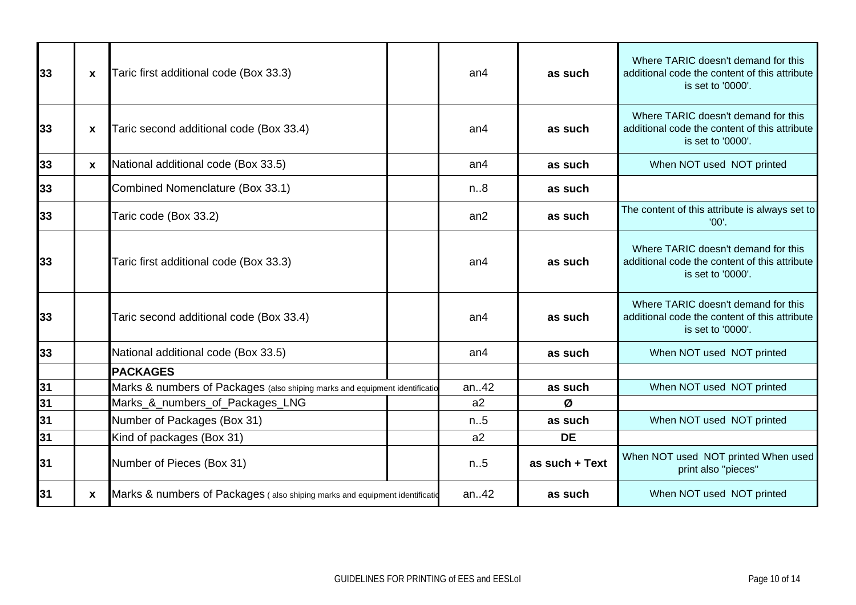| 33 | X            | Taric first additional code (Box 33.3)                                       | an <sub>4</sub> | as such        | Where TARIC doesn't demand for this<br>additional code the content of this attribute<br>is set to '0000'. |
|----|--------------|------------------------------------------------------------------------------|-----------------|----------------|-----------------------------------------------------------------------------------------------------------|
| 33 | $\mathbf{x}$ | Taric second additional code (Box 33.4)                                      | an <sub>4</sub> | as such        | Where TARIC doesn't demand for this<br>additional code the content of this attribute<br>is set to '0000'. |
| 33 | X            | National additional code (Box 33.5)                                          | an4             | as such        | When NOT used NOT printed                                                                                 |
| 33 |              | Combined Nomenclature (Box 33.1)                                             | n.8             | as such        |                                                                                                           |
| 33 |              | Taric code (Box 33.2)                                                        | an2             | as such        | The content of this attribute is always set to<br>'00'.                                                   |
| 33 |              | Taric first additional code (Box 33.3)                                       | an <sub>4</sub> | as such        | Where TARIC doesn't demand for this<br>additional code the content of this attribute<br>is set to '0000'. |
| 33 |              | Taric second additional code (Box 33.4)                                      | an4             | as such        | Where TARIC doesn't demand for this<br>additional code the content of this attribute<br>is set to '0000'. |
| 33 |              | National additional code (Box 33.5)                                          | an <sub>4</sub> | as such        | When NOT used NOT printed                                                                                 |
|    |              | <b>PACKAGES</b>                                                              |                 |                |                                                                                                           |
| 31 |              | Marks & numbers of Packages (also shiping marks and equipment identification | an42            | as such        | When NOT used NOT printed                                                                                 |
| 31 |              | Marks_&_numbers_of_Packages_LNG                                              | a2              | Ø              |                                                                                                           |
| 31 |              | Number of Packages (Box 31)                                                  | n.5             | as such        | When NOT used NOT printed                                                                                 |
| 31 |              | Kind of packages (Box 31)                                                    | a2              | <b>DE</b>      |                                                                                                           |
| 31 |              | Number of Pieces (Box 31)                                                    | n.5             | as such + Text | When NOT used NOT printed When used<br>print also "pieces"                                                |
| 31 | X            | Marks & numbers of Packages (also shiping marks and equipment identification | an42            | as such        | When NOT used NOT printed                                                                                 |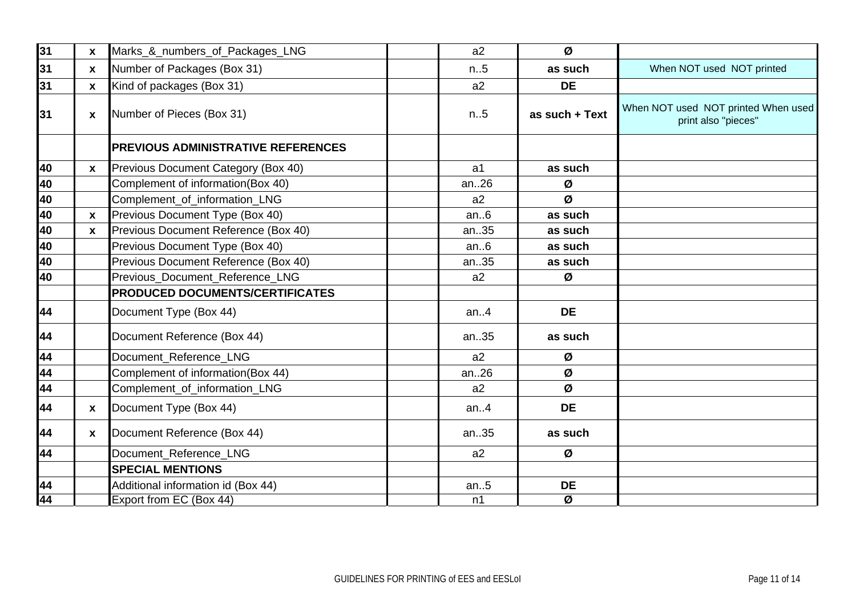| 31 | X            | Marks_&_numbers_of_Packages_LNG           | a2             | Ø                        |                                                            |
|----|--------------|-------------------------------------------|----------------|--------------------------|------------------------------------------------------------|
| 31 | $\mathbf{x}$ | Number of Packages (Box 31)               | n.5            | as such                  | When NOT used NOT printed                                  |
| 31 | $\mathbf{x}$ | Kind of packages (Box 31)                 | a2             | <b>DE</b>                |                                                            |
| 31 | X            | Number of Pieces (Box 31)                 | n.5            | as such + Text           | When NOT used NOT printed When used<br>print also "pieces" |
|    |              | <b>PREVIOUS ADMINISTRATIVE REFERENCES</b> |                |                          |                                                            |
| 40 | $\mathbf{x}$ | Previous Document Category (Box 40)       | a <sub>1</sub> | as such                  |                                                            |
| 40 |              | Complement of information(Box 40)         | an.26          | Ø                        |                                                            |
| 40 |              | Complement_of_information_LNG             | a2             | Ø                        |                                                            |
| 40 | $\pmb{\chi}$ | Previous Document Type (Box 40)           | an.6           | as such                  |                                                            |
| 40 | $\mathbf{x}$ | Previous Document Reference (Box 40)      | an35           | as such                  |                                                            |
| 40 |              | Previous Document Type (Box 40)           | an.6           | as such                  |                                                            |
| 40 |              | Previous Document Reference (Box 40)      | an35           | as such                  |                                                            |
| 40 |              | Previous_Document_Reference_LNG           | a2             | Ø                        |                                                            |
|    |              | <b>PRODUCED DOCUMENTS/CERTIFICATES</b>    |                |                          |                                                            |
| 44 |              | Document Type (Box 44)                    | an.4           | <b>DE</b>                |                                                            |
| 44 |              | Document Reference (Box 44)               | an35           | as such                  |                                                            |
| 44 |              | Document Reference LNG                    | a2             | Ø                        |                                                            |
| 44 |              | Complement of information(Box 44)         | an26           | Ø                        |                                                            |
| 44 |              | Complement_of_information_LNG             | a2             | Ø                        |                                                            |
| 44 | $\mathbf{x}$ | Document Type (Box 44)                    | an.4           | <b>DE</b>                |                                                            |
| 44 | $\mathbf{x}$ | Document Reference (Box 44)               | an35           | as such                  |                                                            |
| 44 |              | Document_Reference_LNG                    | a2             | Ø                        |                                                            |
|    |              | <b>SPECIAL MENTIONS</b>                   |                |                          |                                                            |
| 44 |              | Additional information id (Box 44)        | an.5           | <b>DE</b>                |                                                            |
| 44 |              | Export from EC (Box 44)                   | n1             | $\overline{\mathcal{Q}}$ |                                                            |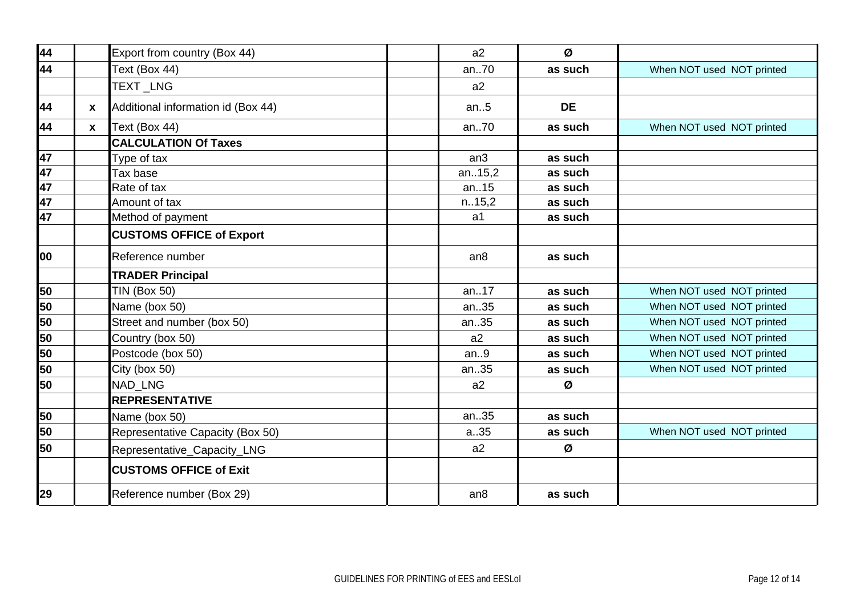| 44         |              | Export from country (Box 44)       | a2              | Ø         |                           |
|------------|--------------|------------------------------------|-----------------|-----------|---------------------------|
| 44         |              | Text (Box 44)                      | an70            | as such   | When NOT used NOT printed |
|            |              | TEXT_LNG                           | a2              |           |                           |
| 44         | $\mathbf{x}$ | Additional information id (Box 44) | an.5            | <b>DE</b> |                           |
| 44         | $\mathbf{x}$ | Text (Box 44)                      | an70            | as such   | When NOT used NOT printed |
|            |              | <b>CALCULATION Of Taxes</b>        |                 |           |                           |
| 47         |              | Type of tax                        | an <sub>3</sub> | as such   |                           |
| 47         |              | Tax base                           | an15,2          | as such   |                           |
| 47         |              | Rate of tax                        | an15            | as such   |                           |
| 47         |              | Amount of tax                      | n.15,2          | as such   |                           |
| 47         |              | Method of payment                  | a <sub>1</sub>  | as such   |                           |
|            |              | <b>CUSTOMS OFFICE of Export</b>    |                 |           |                           |
| <b>loo</b> |              | Reference number                   | an8             | as such   |                           |
|            |              | <b>TRADER Principal</b>            |                 |           |                           |
| 50         |              | <b>TIN (Box 50)</b>                | an17            | as such   | When NOT used NOT printed |
| 50         |              | Name (box 50)                      | an35            | as such   | When NOT used NOT printed |
| 50         |              | Street and number (box 50)         | an35            | as such   | When NOT used NOT printed |
| 50         |              | Country (box 50)                   | a2              | as such   | When NOT used NOT printed |
| 50         |              | Postcode (box 50)                  | an.9            | as such   | When NOT used NOT printed |
| 50         |              | City (box 50)                      | an35            | as such   | When NOT used NOT printed |
| 50         |              | <b>NAD LNG</b>                     | a2              | Ø         |                           |
|            |              | <b>REPRESENTATIVE</b>              |                 |           |                           |
| 50         |              | Name (box 50)                      | an35            | as such   |                           |
| 50         |              | Representative Capacity (Box 50)   | a.35            | as such   | When NOT used NOT printed |
| 50         |              | Representative_Capacity_LNG        | a2              | Ø         |                           |
|            |              | <b>CUSTOMS OFFICE of Exit</b>      |                 |           |                           |
| 29         |              | Reference number (Box 29)          | an8             | as such   |                           |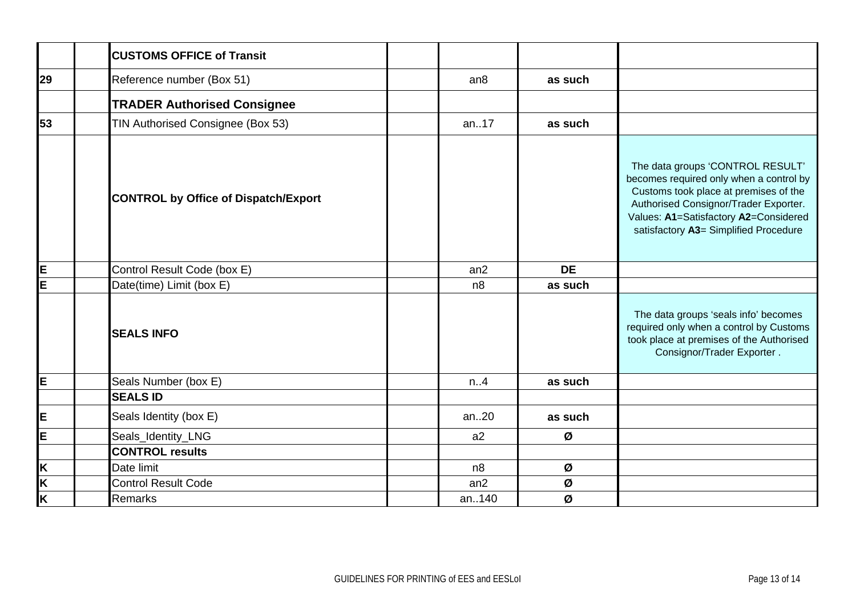|    | <b>CUSTOMS OFFICE of Transit</b>            |                |           |                                                                                                                                                                                                                                                 |
|----|---------------------------------------------|----------------|-----------|-------------------------------------------------------------------------------------------------------------------------------------------------------------------------------------------------------------------------------------------------|
| 29 | Reference number (Box 51)                   | an8            | as such   |                                                                                                                                                                                                                                                 |
|    | <b>TRADER Authorised Consignee</b>          |                |           |                                                                                                                                                                                                                                                 |
| 53 | TIN Authorised Consignee (Box 53)           | an17           | as such   |                                                                                                                                                                                                                                                 |
|    | <b>CONTROL by Office of Dispatch/Export</b> |                |           | The data groups 'CONTROL RESULT'<br>becomes required only when a control by<br>Customs took place at premises of the<br>Authorised Consignor/Trader Exporter.<br>Values: A1=Satisfactory A2=Considered<br>satisfactory A3= Simplified Procedure |
| İΕ | Control Result Code (box E)                 | an2            | <b>DE</b> |                                                                                                                                                                                                                                                 |
| E  | Date(time) Limit (box E)                    | n <sub>8</sub> | as such   |                                                                                                                                                                                                                                                 |
|    | <b>SEALS INFO</b>                           |                |           | The data groups 'seals info' becomes<br>required only when a control by Customs<br>took place at premises of the Authorised<br>Consignor/Trader Exporter.                                                                                       |
| IЕ | Seals Number (box E)                        | n.A            | as such   |                                                                                                                                                                                                                                                 |
|    | <b>SEALS ID</b>                             |                |           |                                                                                                                                                                                                                                                 |
| E  | Seals Identity (box E)                      | an20           | as such   |                                                                                                                                                                                                                                                 |
| E  | Seals_Identity_LNG                          | a2             | Ø         |                                                                                                                                                                                                                                                 |
|    | <b>CONTROL results</b>                      |                |           |                                                                                                                                                                                                                                                 |
| K  | Date limit                                  | n <sub>8</sub> | Ø         |                                                                                                                                                                                                                                                 |
| K  | <b>Control Result Code</b>                  | an2            | Ø         |                                                                                                                                                                                                                                                 |
| İΚ | <b>Remarks</b>                              | an140          | Ø         |                                                                                                                                                                                                                                                 |